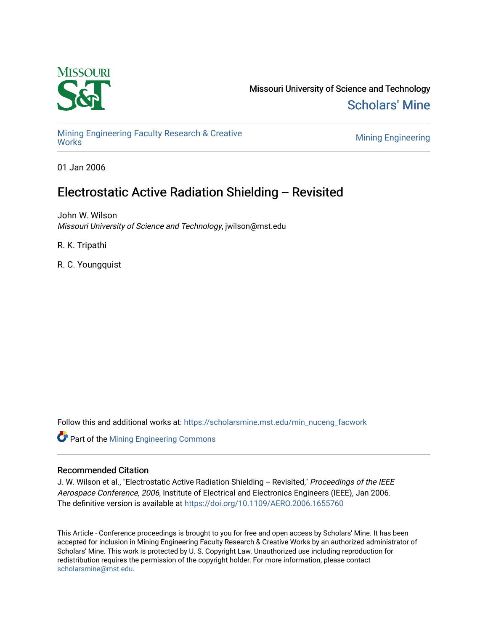

Missouri University of Science and Technology [Scholars' Mine](https://scholarsmine.mst.edu/) 

[Mining Engineering Faculty Research & Creative](https://scholarsmine.mst.edu/min_nuceng_facwork)  [Works](https://scholarsmine.mst.edu/min_nuceng_facwork) [Mining Engineering](https://scholarsmine.mst.edu/min_nuceng) 

01 Jan 2006

## Electrostatic Active Radiation Shielding -- Revisited

John W. Wilson Missouri University of Science and Technology, jwilson@mst.edu

R. K. Tripathi

R. C. Youngquist

Follow this and additional works at: [https://scholarsmine.mst.edu/min\\_nuceng\\_facwork](https://scholarsmine.mst.edu/min_nuceng_facwork?utm_source=scholarsmine.mst.edu%2Fmin_nuceng_facwork%2F1184&utm_medium=PDF&utm_campaign=PDFCoverPages) 

**Part of the Mining Engineering Commons** 

## Recommended Citation

J. W. Wilson et al., "Electrostatic Active Radiation Shielding -- Revisited," Proceedings of the IEEE Aerospace Conference, 2006, Institute of Electrical and Electronics Engineers (IEEE), Jan 2006. The definitive version is available at <https://doi.org/10.1109/AERO.2006.1655760>

This Article - Conference proceedings is brought to you for free and open access by Scholars' Mine. It has been accepted for inclusion in Mining Engineering Faculty Research & Creative Works by an authorized administrator of Scholars' Mine. This work is protected by U. S. Copyright Law. Unauthorized use including reproduction for redistribution requires the permission of the copyright holder. For more information, please contact [scholarsmine@mst.edu.](mailto:scholarsmine@mst.edu)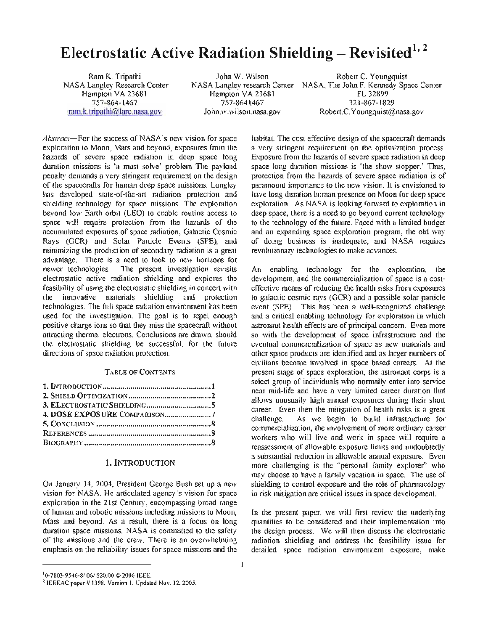# Electrostatic Active Radiation Shielding - Revisited<sup>1, 2</sup>

Ram K. Tripathi John W. Wilson Robert C. Youngquist<br>NASA Langley Research Center NASA Langley research Center NASA, The John F. Kennedy Spa Hampton VA <sup>23681</sup> Hampton VA <sup>23681</sup> FL <sup>32899</sup> 757-864-1467 757-8641467 321-867-1829

NASA Langley research Center NASA, The John F. Kennedy Space Center ram.k.tripathi@larc.nasa.gov John.w.wilson.nasa.gov Robert.C.Youngquist@nasa.gov

Abstract—For the success of NASA's new vision for space habitat. The cost effective design of the spacecraft demands exploration to Moon, Mars and beyond, exposures from the a very stringent requirement on the optimization process. hazards of severe space radiation in deep space long Exposure from the hazards of severe space radiation in deep duration missions is 'a must solve' problem The payload space long duration missions is 'the show stopper.' Thus, penalty demands a very stringent requirement on the design protection from the hazards of severe space radiation is of of the spacecrafts for human deep space missions. Langley paramount importance to the new vision. It is envisioned to has developed state-of-the-art radiation protection and have long duration human presence on Moon for deep space shielding technology for space missions. The exploration exploration. As NASA is looking forward to exploration in beyond low Earth orbit (LEO) to enable routine access to deep space, there is a need to go beyond current technology space will require protection from the hazards of the to the technology of the future. Faced with a limited budget accumulated exposures of space radiation, Galactic Cosmic and an expanding space exploration program, the old way Rays (GCR) and Solar Particle Events (SPE), and of doing business is inadequate, and NASA requires minimizing the production of secondary radiation is a great revolutionary technologies to make advances. advantage. There is a need to look to new horizons for newer technologies. The present investigation revisits An enabling technology for the exploration, the electrostatic active radiation shielding and explores the development, and the commercialization of space is a costfeasibility of using the electrostatic shielding in concert with effective means of reducing the health risks from exposures the innovative materials shielding and protection to galactic cosmic rays (GCR) and a possible solar particle technologies. The full space radiation environment has been event (SPE). This has been a well-recognized challenge used for the investigation. The goal is to repel enough and a critical enabling technology for exploration in which positive charge ions so that they miss the spacecraft without astronaut health effects are of principal concern. Even more attracting thermal electrons. Conclusions are drawn, should so with the development of space infrastructure and the the electrostatic shielding be successful, for the future eventual commercialization of space as new materials and directions of space radiation protection.  $\qquad \qquad$  other space products are identified and as larger numbers of

| 4. DOSE EXPOSURE COMPARISON7 |  |
|------------------------------|--|
|                              |  |
|                              |  |
|                              |  |
|                              |  |

vision for NASA. He articulated agency's vision for space in risk mitigation are critical issues in space development. exploration in the 21st Century, encompassing broad range of human and robotic missions including missions to Moon, In the present paper, we will first review the underlying Mars and beyond. As a result, there is a focus on long quantities to be considered and their implementation into duration space missions. NASA is committed to the safety the design process. We will then discuss the electrostatic of the missions and the crew. There is an overwhelming radiation shielding and address the feasibility issue for emphasis on the reliability issues for space missions and the detailed space radiation environment exposure, make

civilians become involved in space based careers. At the TABLE OF CONTENTS present stage of space exploration, the astronaut corps is a select group of individuals who normally enter into service near mid-life and have a very limited career duration that allows unusually high annual exposures during their short career. Even then the mitigation of health risks is a great challenge. As we begin to build infrastructure for commercialization, the involvement of more ordinary career workers who will live and work in space will require a reassessment of allowable exposure limits and undoubtedly a substantial reduction in allowable annual exposure. Even 1. INTRODUCTION more challenging is the "personal family explorer" who may choose to have a family vacation in space. The use of On January 14, 2004, President George Bush set up <sup>a</sup> new shielding to control exposure and the role of pharmacology

<sup>10-7803-9546-8/</sup> 06/ \$20.00 © <sup>2006</sup> IEEE.

 $2$  IEEEAC paper # 1398, Version 1, Updated Nov. 12, 2005.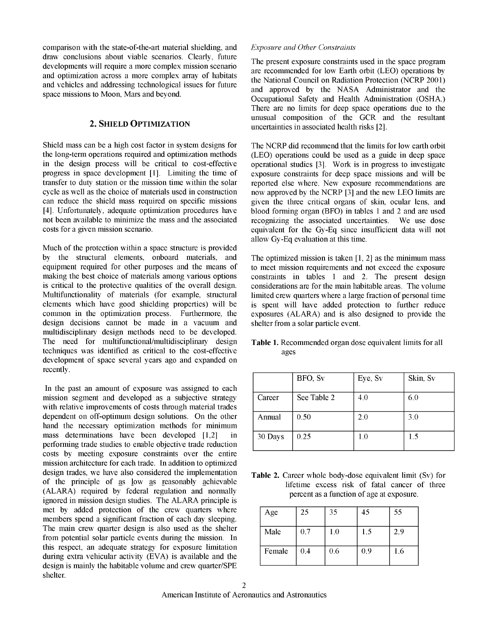comparison with the state-of-the-art material shielding, and Exposure and Other Constraints draw conclusions about viable scenarios. Clearly, future developments will require a more complex mission scenario<br>and optimization across a more complex array of habitats<br>and vehicles and addressing technological issues for future<br>development of habitation across a more complex and vehicles and addressing technological issues for future and approved by the NASA Administrator and the space missions to Moon, Mars and beyond.

Shield mass can be a high cost factor in system designs for The NCRP did recommend that the limits for low earth orbit the long-term operations required and optimization methods (LEO) operations could be used as a guide in in the design process will be critical to cost-effective operational studies [3]. Work is in progress to investigate progress in space development [1]. Limiting the time of exposure constraints for deep space missions and transfer to duty station or the mission time within the solar reported else where. New exposure recommendations are cycle as well as the choice of materials used in construction now approved by the NCRP [3] and the new LEO cycle as well as the choice of materials used in construction now approved by the NCRP [3] and the new LEO limits are can reduce the shield mass required on specific missions given the three critical organs of skin, ocular [4]. Unfortunately, adequate optimization procedures have blood forming organ (BFO) in tables <sup>1</sup> and 2 and are used not been available to minimize the mass and the associated recognizing the associated uncertainties. We use dose costs for a given mission scenario. equivalent for the Gy-Eq since insufficient data will not

Much of the protection within a space structure is provided by the structural elements, onboard materials, and The optimized mission is taken [1, 2] as the minimum mass equipment required for other purposes and the means of to meet mission requirements and not exceed the exposure making the best choice of materials among various options constraints in tables <sup>1</sup> and 2. The present design is critical to the protective qualities of the overall design. considerations are for the main habitable areas. The volume Multifunctionality of materials (for example, structural limited crew quarters where a large fraction of personal time elements which have good shielding properties) will be is spent will have added protection to further reduce common in the optimization process. Furthermore, the exposures (ALARA) and is also designed to provide the design decisions cannot be made in a vacuum and shelter from a solar particle event. multidisciplinary design methods need to be developed. The need for multifunctional/multidisciplinary design Table 1. Recommended organ dose equivalent limits for all techniques was identified as critical to the cost-effective ages development of space several years ago and expanded on recently.

In the past an amount of exposure was assigned to each mission segment and developed as a subjective strategy with relative improvements of costs through material trades dependent on off-optimum design solutions. On the other hand the necessary optimization methods for minimum mass determinations have been developed  $[1,2]$  in performing trade studies to enable objective trade reduction costs by meeting exposure constraints over the entire mission architecture for each trade. In addition to optimized design trades, we have also considered the implementation Table 2. Career whole body-dose equivalent limit (Sv) for of the principle of as low as reasonably achievable lifetime excess risk of fatal cancer of three (ALARA) required by federal regulation and normally percent as <sup>a</sup> function of age at exposure. ignored in mission design studies. The ALARA principle is met by added protection of the crew quarters where members spend a significant fraction of each day sleeping. The main crew quarter design is also used as the shelter from potential solar particle events during the mission. In this respect, an adequate strategy for exposure limitation during extra vehicular activity (EVA) is available and the design is mainly the habitable volume and crew quarter/SPE shelter.

Occupational Safety and Health Administration (OSHA.) There are no limits for deep space operations due to the unusual composition of the GCR and the resultant 2. SHIELD OPTIMIZATION uncertainties in associated health risks [2].

> (LEO) operations could be used as a guide in deep space exposure constraints for deep space missions and will be given the three critical organs of skin, ocular lens, and allow Gy-Eq evaluation at this time.

> to meet mission requirements and not exceed the exposure

|         | BFO, Sv     | Eye, Sv | Skin, Sv |
|---------|-------------|---------|----------|
| Career  | See Table 2 | 4.0     | 6.0      |
| Annual  | 0.50        | 2.0     | 3.0      |
| 30 Days | 0.25        | 1.0     | 1.5      |

| Age    | 25  | 35      | 45  | 55  |
|--------|-----|---------|-----|-----|
| Male   | 0.7 | $1.0\,$ | 1.5 | 2.9 |
| Female | 0.4 | 0.6     | 0.9 | 1.6 |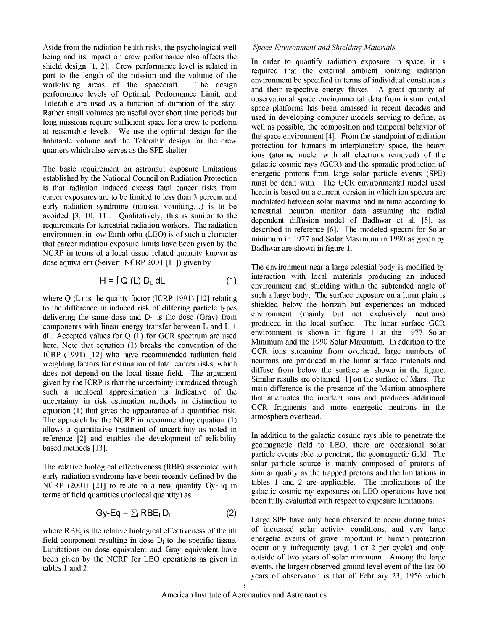Aside from the radiation health risks, the psychological well being and its impact on crew performance also affects the shield design [1, 2]. Crew performance level is related in part to the length of the mission and the volume of the work/living areas of the spacecraft. The design performance levels of Optimal, Performance Limit, and Tolerable are used as a function of duration of the stay. Rather small volumes are useful over short time periods but long missions require sufficient space for a crew to perform at reasonable levels. We use the optimal design for the habitable volume and the Tolerable design for the crew quarters which also serves as the SPE shelter

The basic requirement on astronaut exposure limitations established by the National Council on Radiation Protection is that radiation induced excess fatal cancer risks from career exposures are to be limited to less than 3 percent and early radiation syndrome (nausea, vomiting...) is to be avoided [3, 10, 11]. Qualitatively, this is similar to the requirements for terrestrial radiation workers. The radiation environment in low Earth orbit (LEO) is of such a character that career radiation exposure limits have been given by the NCRP in terms of a local tissue related quantity known as dose equivalent (Seivert, NCRP 2001 [11]) given by

$$
H = \int Q(L) D_L dL
$$
 (1)

where  $O(L)$  is the quality factor (ICRP 1991) [12] relating to the difference in induced risk of differing particle types delivering the same dose and  $D_L$  is the dose (Gray) from components with linear energy transfer between L and L +  $dL$ . Accepted values for Q  $(L)$  for GCR spectrum are used here. Note that equation (1) breaks the convention of the ICRP (1991) [12] who have recommended radiation field weighting factors for estimation of fatal cancer risks, which does not depend on the local tissue field. The argument given by the ICRP is that the uncertainty introduced through such a nonlocal approximation is indicative of the uncertainty in risk estimation methods in distinction to equation (1) that gives the appearance of a quantified risk. The approach by the NCRP in recommending equation (1) allows a quantitative treatment of uncertainty as noted in reference [2] and enables the development of reliability based methods [13].

The relative biological effectiveness (RBE) associated with early radiation syndrome have been recently defined by the NCRP (2001) [21] to relate to a new quantity Gy-Eq in terms of field quantities (nonlocal quantity) as

$$
Gy-Eq = \sum_{i} RBE_{i} D_{i}
$$
 (2)

where RBE; is the relative biological effectiveness of the ith field component resulting in dose  $D_i$  to the specific tissue. Limitations on dose equivalent and Grav equivalent have been given by the NCRP for LEO operations as given in tables 1 and 2.

## Space Environment and Shielding Materials

In order to quantify radiation exposure in space, it is required that the external ambient ionizing radiation environment be specified in terms of individual constituents and their respective energy fluxes. A great quantity of observational space environmental data from instrumented space platforms has been amassed in recent decades and used in developing computer models serving to define, as well as possible, the composition and temporal behavior of the space environment [4]. From the standpoint of radiation protection for humans in interplanetary space, the heavy ions (atomic nuclei with all electrons removed) of the galactic cosmic rays (GCR) and the sporadic production of energetic protons from large solar particle events (SPE) must be dealt with. The GCR environmental model used herein is based on a current version in which ion spectra are modulated between solar maxima and minima according to terrestrial neutron monitor data assuming the radial dependent diffusion model of Badhwar et al. [5], as described in reference [6]. The modeled spectra for Solar minimum in 1977 and Solar Maximum in 1990 as given by Badhwar are shown in figure 1.

The environment near a large celestial body is modified by interaction with local materials producing an induced environment and shielding within the subtended angle of such a large body. The surface exposure on a lunar plain is shielded below the horizon but experiences an induced environment (mainly but not exclusively neutrons) produced in the local surface. The lunar surface GCR environment is shown in figure 1 at the 1977 Solar Minimum and the 1990 Solar Maximum. In addition to the GCR ions streaming from overhead, large numbers of neutrons are produced in the lunar surface materials and diffuse from below the surface as shown in the figure. Similar results are obtained [1] on the surface of Mars. The main difference is the presence of the Martian atmosphere that attenuates the incident ions and produces additional GCR fragments and more energetic neutrons in the atmosphere overhead.

In addition to the galactic cosmic rays able to penetrate the geomagnetic field to LEO, there are occasional solar particle events able to penetrate the geomagnetic field. The solar particle source is mainly composed of protons of similar quality as the trapped protons and the limitations in tables 1 and 2 are applicable. The implications of the galactic cosmic ray exposures on LEO operations have not been fully evaluated with respect to exposure limitations.

Large SPE have only been observed to occur during times of increased solar activity conditions, and very large energetic events of grave important to human protection occur only infrequently (avg. 1 or 2 per cycle) and only outside of two years of solar minimum. Among the large events, the largest observed ground level event of the last 60 years of observation is that of February 23, 1956 which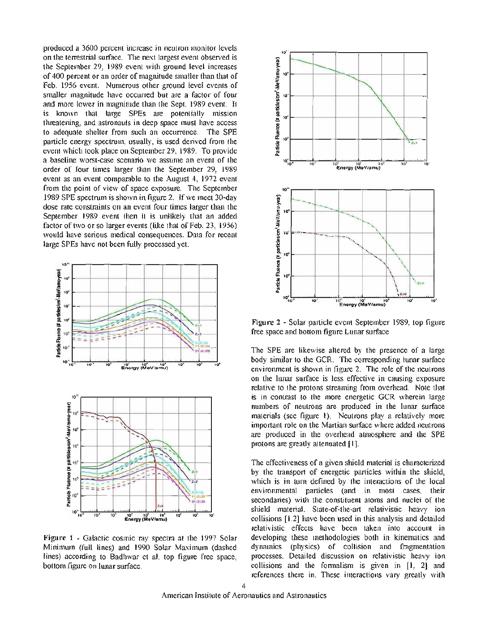produced a 3600 percent increase in neutron monitor levels on the terrestrial surface. The next largest event observed is the September 29, 1989 event with ground level increases of 400 percent or an order of magnitude smaller than that of Feb. 1956 event. Numerous other ground level events of smaller magnitude have occurred but are a factor of four and more lower in magnitude than the Sept. 1989 event. It is known that large SPEs are potentially mission threatening, and astronauts in deep space must have access to adequate shelter from such an occurrence. The SPE particle energy spectrum, usually, is used derived from the event which took place on September 29, 1989. To provide a baseline worst-case scenario we assume an event of the order of four times larger than the September 29, 1989 event as an event comparable to the August 4, 1972 event from the point of view of space exposure. The September 1989 SPE spectrum is shown in figure 2. If we meet 30-day dose rate constraints on an event four times larger than the September 1989 event then it is unlikely that an added factor of two or so larger events (like that of Feb. 23, 1956) would have serious medical consequences. Data for recent large SPEs have not been fully processed yet.



Figure 1 - Galactic cosmic ray spectra at the 1997 Solar Minimum (full lines) and 1990 Solar Maximum (dashed lines) according to Badhwar et al. top figure free space, bottom figure on lunar surface.



Figure 2 - Solar particle event September 1989, top figure free space and bottom figure Lunar surface

The SPE are likewise altered by the presence of a large body similar to the GCR. The corresponding lunar surface environment is shown in figure 2. The role of the neutrons on the lunar surface is less effective in causing exposure relative to the protons streaming from overhead. Note that is in contrast to the more energetic GCR wherein large numbers of neutrons are produced in the lunar surface materials (see figure 1). Neutrons play a relatively more important role on the Martian surface where added neutrons are produced in the overhead atmosphere and the SPE protons are greatly attenuated [1].

The effectiveness of a given shield material is characterized by the transport of energetic particles within the shield, which is in turn defined by the interactions of the local environmental particles (and in most cases, their secondaries) with the constituent atoms and nuclei of the shield material. State-of-the-art relativistic heavy ion collisions [1.2] have been used in this analysis and detailed relativistic effects have been taken into account in developing these methodologies both in kinematics and dynamics (physics) of collision and fragmentation processes. Detailed discussion on relativistic heavy ion collisions and the formalism is given in [1, 2] and references there in. These interactions vary greatly with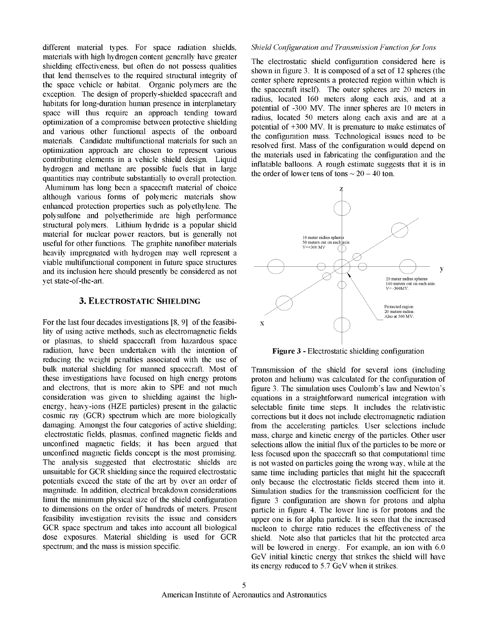different material types. For space radiation shields, Shield Configuration and Transmission Function for Ions materials with high hydrogen content generally have greater The electrostatic shield configuration considered here is shielding effectiveness, but often do not possess qualities shown in figure 3. It is composed of a set of 12 spheres (the<br>that lend themselves to the required structural integrity of<br>the space vehicle or habitat. Organic polymers are the<br>exception. The design of properly-shielded s habitats for long-duration human presence in interplanetary<br>space will thus require an approach tending toward potential of -300 MV. The inner spheres are 10 meters in space will thus require an approach tending toward<br>optimization of a compromise between protective shielding<br>and various other functional aspects of the onboard<br>materials of  $+300$  MV. It is premature to make estimates of<br> materials. Candidate multifunctional materials for such an resolved first. Mass of the configuration would depend on optimization approach are chosen to represent various optimization approach are chosen to represent various the materials used in fabricating the configuration and the configuration and the configuration and the hydrogen and methane are possible fuels that in large the order of lower tens of tons  $\sim$  20 - 40 ton. quantities may contribute substantially to overall protection. Aluminum has long been a spacecraft material of choice although various forms of polymeric materials show enhanced protection properties such as polyethylene. The polysulfone and polyetherimide are high performance structural polymers. Lithium hydride is a popular shield material for nuclear power reactors, but is generally not<br>useful for other functions. The granhite nanofiber materials spheres out on each axis useful for other functions. The graphite nanofiber materials  $_{\rm V=+300\,MV=0.04}^{50\,\rm{meters\,ou}}$ heavily impregnated with hydrogen may well represent a viable multifunctional component in future space structures  $y$ et state-of-the-art. 16tO meters out on each axis. 16tO meters out on each axis. 16tO meters out on each axis. 16tO meters out on each axis. 16tO meters out on each axis. 16tO meters out on each axis. 16tO meters out o

For the last four decades investigations  $[8, 9]$  of the feasibility of using active methods, such as electromagnetic fields or plasmas, to shield spacecraft from hazardous space radiation, have been undertaken with the intention of Figure 3 - Electrostatic shielding configuration reducing the weight penalties associated with the use of bulk material shielding for manned spacecraft. Most of Transmission of the shield for several ions (including these investigations have focused on high energy protons proton and helium) was calculated for the configuration of and electrons, that is more akin to SPE and not much figure 3. The simulation uses Coulomb's law and Newton's consideration was given to shielding against the high- equations in a straightforward numerical integration with energy, heavy-ions (HZE particles) present in the galactic selectable finite time steps. It includes the relativistic cosmic ray (GCR) spectrum which are more biologically corrections but it does not include electromagnetic radiation damaging. Amongst the four categories of active shielding; from the accelerating particles. User selections include electrostatic fields, plasmas, confined magnetic fields and mass, charge and kinetic energy of the particles. Other user unconfined magnetic fields; it has been argued that selections allow the initial flux of the particles to be more or unconfined magnetic fields concept is the most promising. less focused upon the spacecraft so that comput The analysis suggested that electrostatic shields are is not wasted on particles going the wrong way, while at the unsuitable for GCR shielding since the required electrostatic same time including particles that might hit the spacecraft potentials exceed the state of the art by over an order of only because the electrostatic fields steered them into it. magnitude. In addition, electrical breakdown considerations Simulation studies for the transmission coefficient for the limit the minimum physical size of the shield configuration figure 3 configuration are shown for protons and alpha to dimensions on the order of hundreds of meters. Present particle in figure 4. The lower line is for protons and the feasibility investigation revisits the issue and considers upper one is for alpha particle. It is seen that the increased GCR space spectrum and takes into account all biological nucleon to charge ratio reduces the effectiveness of the dose exposures. Material shielding is used for GCR shield. Note also that particles that hit the protected area spectrum; and the mass is mission specific. will be lowered in energy. For example, an ion with 6.0

inflatable balloons. A rough estimate suggests that it is in



less focused upon the spacecraft so that computational time. GeV initial kinetic energy that strikes the shield will have its energy reduced to 5.7 GeV when it strikes.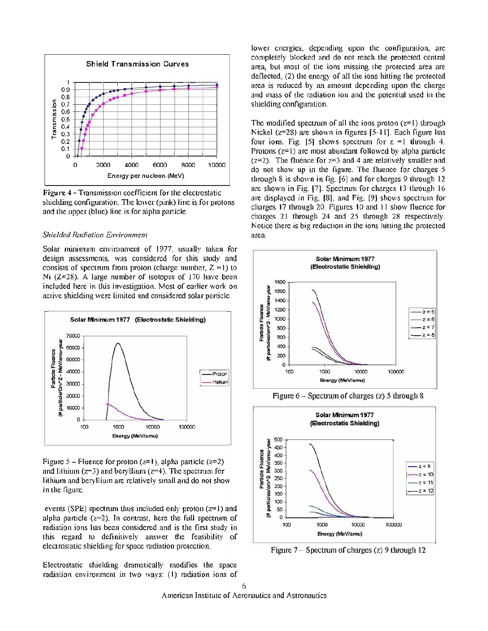

## Shielded Radiation Environment area.

Solar minimum environment of 1977, usually taken for  $\alpha$  design assessments, was considered for this study and  $\alpha$  Solar Minimum 1977 consists of spectrum from proton (charge number,  $Z = 1$ ) to (Electrostatic Shielding) Ni  $(Z=28)$ . A large number of isotopes of 170 have been active shielding were limited and considered solar particle  $\begin{bmatrix} 8 & 1000 \\ 1400 & 1400 \end{bmatrix}$ 



Figure 5 - Fluence for proton (z=1), alpha particle (z=2)<br>and lithium (z=3) and beryllium (z=4). The spectrum for<br>fithium and beryllium are relatively small and do not show<br> $\frac{9}{8}$   $\frac{250}{8}$   $\frac{250}{8}$   $\frac{250}{8}$ and lithium (z=3) and beiryllium (z=4). The spectrum for <sup>300</sup> <sup>=</sup> lithium and beryllium are relatively small and do not show  $A \frac{1}{2} \sum_{n=0}^{\infty} \frac{250}{200}$ 

events (SPE) spectrum thus included only proton  $(z=1)$  and  $\begin{bmatrix} 8 & 50 \\ 0.50 & 10 \\ 0.50 & 0.50 \end{bmatrix}$ alpha particle (z=2). In contrast, here the full spectrum of  $\begin{bmatrix} 1 & 0 \\ 0 & 0 \end{bmatrix}$ radiation ions has been considered and is the first study in  $\frac{100}{200}$  1000 10000 100000 100000 100000 100000 100000 100000 100000 100000 100000 100000 100000 100000 100000 100000 100000 100000 100000 100000 100000 10 this regard to definitively answer the feasibility of electrostatic shielding for space radiation protection.

Electrostatic shielding dramatically modifies the space radiation environment in two ways: (1) radiation ions of

lower energies, depending upon the configuration, are completely blocked and do not reach the protected central Shield Transmission Curves area, but most of the ions missing the protected area are deflected, (2) the energy of all the ions hitting the protected I bower energies, depending upon the configuration, are<br>
Shield Transmission Curves<br>
area, but most of the ions missing the protected area are<br>
deflected, (2) the energy of all the ions hitting the protected<br>
area is reduc 0.8 and mass of the radiation ion and the potential used in the shielding configuration.

The modified spectrum of all the ions proton  $(z=1)$  through 0.2 M four ions. Fig. [5] shows spectrum for  $z = 1$  through 4.<br>0.1 Protons  $(z=1)$  are most abundant followed by atoba particle Protons ( $z=1$ ) are most abundant followed by alpha particle<br>
0 2000 4000 6000 8000 10000 <br>
Energy per nucleon (MeV) do not show up in the figure. The fluence for charges 5<br>
through 8 is shown in fig. [6] and for charges through 8 is shown in fig.  $[6]$  and for charges 9 through 12 are shown in Fig.  $[7]$ . Spectrum for charges 13 through 16 are displayed in Fig.  $[8]$ , and Fig.  $[9]$  shows spectrum for Figure 4 - Transmission coefficient for the electrostatic<br>shielding configuration. The lower (pink) line is for protons<br>and the upper (blue) line is for alpha particle.<br>and the upper (blue) line is for alpha particle.<br>and Notice there is big reduction in the ions hitting the protected







Figure  $7 -$  Spectrum of charges (z) 9 through 12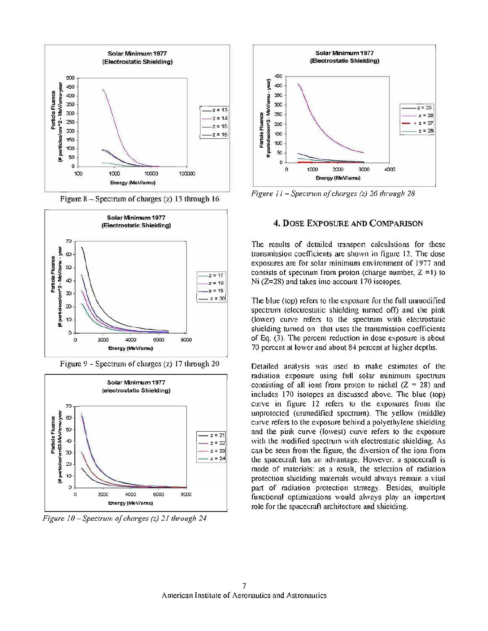

Figure 8 - Spectrum of charges  $(z)$  13 through 16





Figure  $10$  - Spectrum of charges (z) 21 through 24



Figure  $11$  - Spectrum of charges (z) 26 through 28

60. Transmission coefficients are shown in figure 12. The dose exposures are for solar minimum environment of 1977 and  $\frac{1}{2 \times 17}$  consists of spectrum from proton (charge number, Z =1) to  $\|z - 19\|$  Ni (Z=28) and takes into account 170 isotopes.

 $20 \times 20$  The blue (top) refers to the exposure for the full unmodified spectrum (electrostatic shielding turned off) and the pink of  $\sim$  (lower) curve refers to the spectrum with electrostatic  $\sim$  shielding turned on that uses the transmission coefficients  $\overline{0}$  2000 4000 8000 8000  $\overline{0}$  of Eq. (3). The percent reduction in dose exposure is about Energy (MeVlamu) 70 percent at lower and about 84 percent at higher depths.

Figure 9 - Spectrum of charges (z) 17 through 20 Detailed analysis was used to make estimates of the radiation exposure using full solar minimum spectrum Solar Minimum 1977 consisting of all ions from proton to nickel  $(Z = 28)$  and detectrostatio Shielding) includes 170 isotopes as discussed above. The blue (top)  $70$ unprotected (unmodified spectrum). The yellow (middle) curve refers to the exposure behind a polyethylene shielding  $\frac{z-21}{z-21}$  and the pink curve (lowest) curve refers to the exposure <sup>40</sup> z=22 with the modified spectrum wt lcrsai hedn.A Branch contents the diversion of the ions from the seen from the figure, the diversion of the ions from the separate the separate the separate of the ions from the figure, the diversion of the ions from the separate in th the spacecraft has an advantage. However, a spacecraft is made of materials; as a result, the selection of radiation protection shielding materials would always remain a vital 0 part of radiation protection strategy. Besides, multiple<br>0 2000 4000 6000 8000 functional optimizations would elymon play on important <sup>0</sup> <sup>2000</sup> <sup>4000</sup> <sup>6000</sup> <sup>8000</sup> functional optimizations would always play an important Energy (MeV/amu) role for the spacecraft architecture and shielding.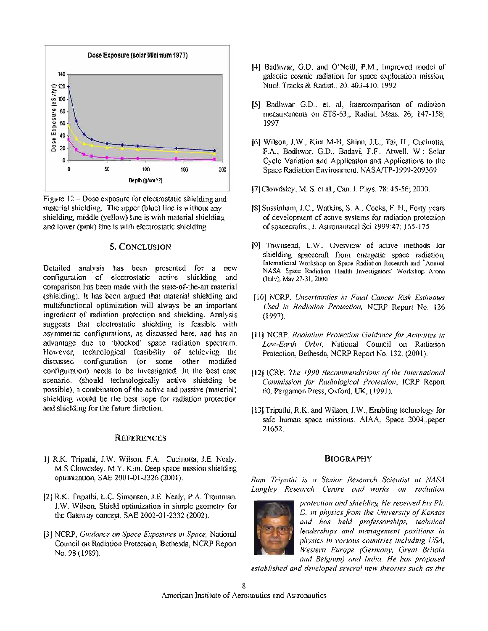

Figure 12 - Dose exposure for electrostatic shielding and material shielding. The upper (blue) line is without any [8] Sussinham, J.C., Watkins, S. A., Cocks, F. H., Forty years and lower (pink) line is with electrostatic shielding. of spacecrafts., J. Astronautical Sci 1999:47; 165-175

configuration of electrostatic active shielding and  $(1 \text{d}y)$ , May 27-31, 2000 comparison has been made with the state-of-the-art material (shielding). It has been argued that material shielding and [10] NCRP, Uncertainties in Fatal Cancer Risk Estimates multifunctional optimization will always be an important Used in Radiation Protection, NCRP Report No. 126 ingredient of radiation protection and shielding. Analysis (1997). suggests that electrostatic shielding is feasible with asymmetric configurations, as discussed here, and has an [11] NCRP, Radiation Protection Guidance for Activities in advantage due to 'blocked' space radiation spectrum. Low-Earth Orbu, National Council on Radiation However, technological feasibility of achieving the Protection, Bethesda, NCRP Report No. 132, (2001). discussed configuration (or some other modified configuration) needs to be investigated. In the best case [12] ICRP, The 1990 Recommendations of the International scenario, (should technologically active shielding be Commission for Radiological Protection, ICRP Report possible), a combination of the active and passive (material) 60. Pergamon Press, Oxford, UK, (1991). shielding would be the best hope for radiation protection and shielding for the future direction. [13] Tripathi, R.K. and Wilson, J.W., Enabling technology for

### **REFERENCES**

- 11 R.K. Tripathi, J.W. Wilson, F.A. Cucinotta, J.E. Nealy, BIOGRAPHY M.S Clowdsley, M.Y. Kim, Deep space mission shielding optimization, SAE 2001-01-2326 (2001). Ram Tripathi is a Senior Research Scientist at NASA
- [2] R.K. Tripathi, L.C. Simonsen, J.E. Nealy, P.A. Troutman, J.W. Wilson, Shield optimization in simple geometry for  $J$ . *protection and shielding He received his Ph.*<br>
the Celevian concent SAE 2002 01 233 (2002). *D. in physics from the University of Kansas*
- Council on Radiation Protection, Bethesda, NCRP Report No. 98 (1989).
- [4] Badhwar, G.D. and O'Neill, P.M., Improved model of 140
	- measurements on STS-63;, Radiat. Meas. 26; 147-158;
- [6] Wilson, J.W., Kim M-H, Shinn, J.L., Tai, H., Cucinotta, a 20<sup>1</sup> F.A., Badhwar, G.D., Badavi, F.F., Atwell, W.: Solar 0 **Cycle Variation and Application and Applications to the** <sup>0</sup> <sup>50</sup> <sup>100</sup> <sup>150</sup> <sup>200</sup> Space Radiation Environment, NASA/TP-1999-209369
	- [7] Clowdsley, M. S. et al., Can. J. Phys. 78: 45-56; 2000.
- shielding, middle (yellow) line is with material shielding of development of active systems for radiation protection
- 5. CONCLUSION [9] Townsend, L.W., Overview of active methods for shielding spacecraft from energetic space radiation, International Workshop on Space Radiation Research and <sup>\*</sup>Annual Detailed analysis has been presented for a new NASA Space Radiation Health Investigators' Workshop Arona
	-
	-
	-
	- safe human space missions, AIAA, Space 2004, paper 21652.

Langley Research Centre and works on radiation



the Gateway concept, SAE 2002-01-2332 (2002).<br>and has held professorships, technical and has held professorships, technical [3] NCRP, Guidance on Space Exposures in Space, National lawscale and management positions in Council on Bedieting USA, Western Europe (Germany, Great Britain and Belgium) and India. He has proposed

established and developed several new theories such as the